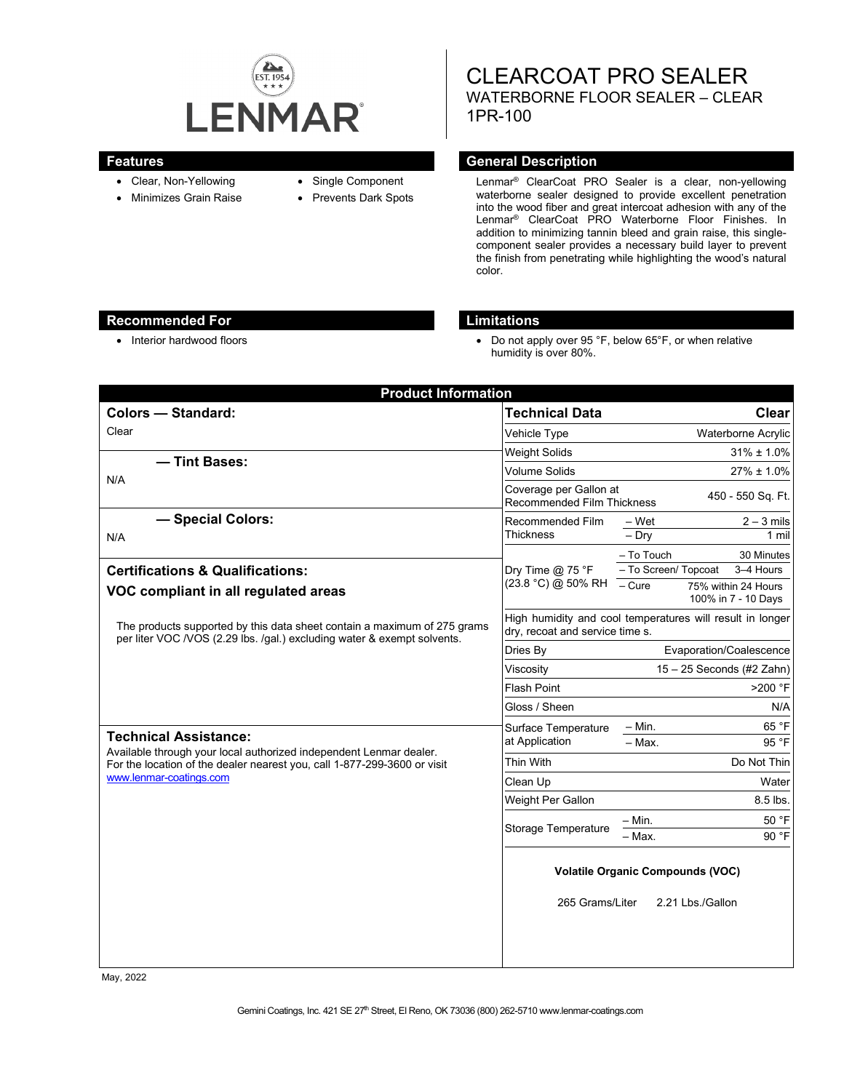

- Clear, Non-Yellowing
- Minimizes Grain Raise
- Single Component
- Prevents Dark Spots

CLEARCOAT PRO SEALER WATERBORNE FLOOR SEALER – CLEAR 1PR-100

### **Features General Description**

Lenmar® ClearCoat PRO Sealer is a clear, non-yellowing waterborne sealer designed to provide excellent penetration into the wood fiber and great intercoat adhesion with any of the Lenmar® ClearCoat PRO Waterborne Floor Finishes. In addition to minimizing tannin bleed and grain raise, this singlecomponent sealer provides a necessary build layer to prevent the finish from penetrating while highlighting the wood's natural color.

## **Recommended For Limitations**

• Interior hardwood floors **•** Do not apply over 95 °F, below 65°F, or when relative humidity is over 80%.

| <b>Product Information</b>                                                                                                                                                                                |                                                                                              |                                                                                 |
|-----------------------------------------------------------------------------------------------------------------------------------------------------------------------------------------------------------|----------------------------------------------------------------------------------------------|---------------------------------------------------------------------------------|
| <b>Colors - Standard:</b>                                                                                                                                                                                 | <b>Technical Data</b>                                                                        | Clear                                                                           |
| Clear                                                                                                                                                                                                     | Vehicle Type                                                                                 | <b>Waterborne Acrylic</b>                                                       |
| - Tint Bases:                                                                                                                                                                                             | <b>Weight Solids</b>                                                                         | $31\% \pm 1.0\%$                                                                |
| N/A                                                                                                                                                                                                       | <b>Volume Solids</b>                                                                         | 27% ± 1.0%                                                                      |
|                                                                                                                                                                                                           | Coverage per Gallon at<br><b>Recommended Film Thickness</b>                                  | 450 - 550 Sq. Ft.                                                               |
| - Special Colors:                                                                                                                                                                                         | Recommended Film                                                                             | – Wet<br>$2 - 3$ mils                                                           |
| N/A                                                                                                                                                                                                       | <b>Thickness</b>                                                                             | $-$ Dry<br>1 mil                                                                |
|                                                                                                                                                                                                           | Dry Time $@$ 75 °F<br>(23.8 °C) @ 50% RH                                                     | - To Touch<br>30 Minutes                                                        |
| <b>Certifications &amp; Qualifications:</b>                                                                                                                                                               |                                                                                              | - To Screen/ Topcoat<br>3-4 Hours<br>$\overline{-C}$ ure<br>75% within 24 Hours |
| VOC compliant in all regulated areas                                                                                                                                                                      |                                                                                              | 100% in 7 - 10 Days                                                             |
| The products supported by this data sheet contain a maximum of 275 grams<br>per liter VOC /VOS (2.29 lbs. /qal.) excluding water & exempt solvents.                                                       | High humidity and cool temperatures will result in longer<br>dry, recoat and service time s. |                                                                                 |
|                                                                                                                                                                                                           | Dries By                                                                                     | Evaporation/Coalescence                                                         |
|                                                                                                                                                                                                           | Viscosity                                                                                    | $15 - 25$ Seconds (#2 Zahn)                                                     |
|                                                                                                                                                                                                           | <b>Flash Point</b>                                                                           | >200 °F                                                                         |
|                                                                                                                                                                                                           | Gloss / Sheen                                                                                | N/A                                                                             |
| <b>Technical Assistance:</b><br>Available through your local authorized independent Lenmar dealer.<br>For the location of the dealer nearest you, call 1-877-299-3600 or visit<br>www.lenmar-coatings.com | Surface Temperature<br>at Application                                                        | 65 °F<br>$-$ Min.                                                               |
|                                                                                                                                                                                                           |                                                                                              | 95 °F<br>$-$ Max.                                                               |
|                                                                                                                                                                                                           | Thin With                                                                                    | Do Not Thin                                                                     |
|                                                                                                                                                                                                           | Clean Up                                                                                     | Water                                                                           |
|                                                                                                                                                                                                           | Weight Per Gallon                                                                            | 8.5 lbs.                                                                        |
|                                                                                                                                                                                                           | Storage Temperature                                                                          | 50 °F<br>$-$ Min.                                                               |
|                                                                                                                                                                                                           |                                                                                              | 90 °F<br>$-$ Max.                                                               |
|                                                                                                                                                                                                           | <b>Volatile Organic Compounds (VOC)</b><br>265 Grams/Liter<br>2.21 Lbs./Gallon               |                                                                                 |
|                                                                                                                                                                                                           |                                                                                              |                                                                                 |

May, 2022